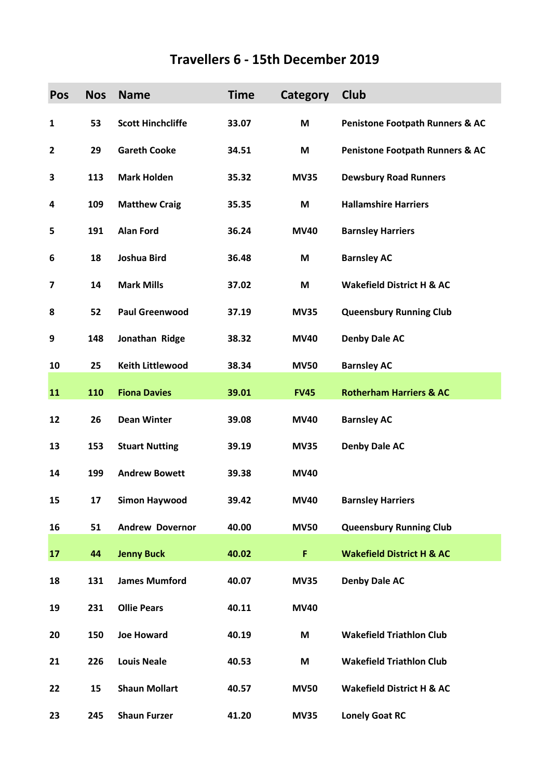## **Travellers 6 - 15th December 2019**

| <b>Pos</b>   | <b>Nos</b> | <b>Name</b>              | <b>Time</b> | <b>Category</b> | Club                                       |
|--------------|------------|--------------------------|-------------|-----------------|--------------------------------------------|
| $\mathbf{1}$ | 53         | <b>Scott Hinchcliffe</b> | 33.07       | M               | <b>Penistone Footpath Runners &amp; AC</b> |
| $\mathbf{2}$ | 29         | <b>Gareth Cooke</b>      | 34.51       | M               | <b>Penistone Footpath Runners &amp; AC</b> |
| 3            | 113        | <b>Mark Holden</b>       | 35.32       | <b>MV35</b>     | <b>Dewsbury Road Runners</b>               |
| 4            | 109        | <b>Matthew Craig</b>     | 35.35       | M               | <b>Hallamshire Harriers</b>                |
| 5            | 191        | <b>Alan Ford</b>         | 36.24       | <b>MV40</b>     | <b>Barnsley Harriers</b>                   |
| 6            | 18         | Joshua Bird              | 36.48       | M               | <b>Barnsley AC</b>                         |
| 7            | 14         | <b>Mark Mills</b>        | 37.02       | M               | <b>Wakefield District H &amp; AC</b>       |
| 8            | 52         | <b>Paul Greenwood</b>    | 37.19       | <b>MV35</b>     | <b>Queensbury Running Club</b>             |
| 9            | 148        | Jonathan Ridge           | 38.32       | <b>MV40</b>     | <b>Denby Dale AC</b>                       |
| 10           | 25         | <b>Keith Littlewood</b>  | 38.34       | <b>MV50</b>     | <b>Barnsley AC</b>                         |
| 11           | 110        | <b>Fiona Davies</b>      | 39.01       | <b>FV45</b>     | <b>Rotherham Harriers &amp; AC</b>         |
| 12           | 26         | <b>Dean Winter</b>       | 39.08       | <b>MV40</b>     | <b>Barnsley AC</b>                         |
| 13           | 153        | <b>Stuart Nutting</b>    | 39.19       | <b>MV35</b>     | <b>Denby Dale AC</b>                       |
| 14           | 199        | <b>Andrew Bowett</b>     | 39.38       | <b>MV40</b>     |                                            |
| 15           | 17         | <b>Simon Haywood</b>     | 39.42       | <b>MV40</b>     | <b>Barnsley Harriers</b>                   |
| 16           | 51         | <b>Andrew Dovernor</b>   | 40.00       | <b>MV50</b>     | <b>Queensbury Running Club</b>             |
| 17           | 44         | <b>Jenny Buck</b>        | 40.02       | F               | <b>Wakefield District H &amp; AC</b>       |
| 18           | 131        | <b>James Mumford</b>     | 40.07       | <b>MV35</b>     | <b>Denby Dale AC</b>                       |
| 19           | 231        | <b>Ollie Pears</b>       | 40.11       | <b>MV40</b>     |                                            |
| 20           | 150        | <b>Joe Howard</b>        | 40.19       | M               | <b>Wakefield Triathlon Club</b>            |
| 21           | 226        | <b>Louis Neale</b>       | 40.53       | M               | <b>Wakefield Triathlon Club</b>            |
| 22           | 15         | <b>Shaun Mollart</b>     | 40.57       | <b>MV50</b>     | <b>Wakefield District H &amp; AC</b>       |
| 23           | 245        | <b>Shaun Furzer</b>      | 41.20       | <b>MV35</b>     | <b>Lonely Goat RC</b>                      |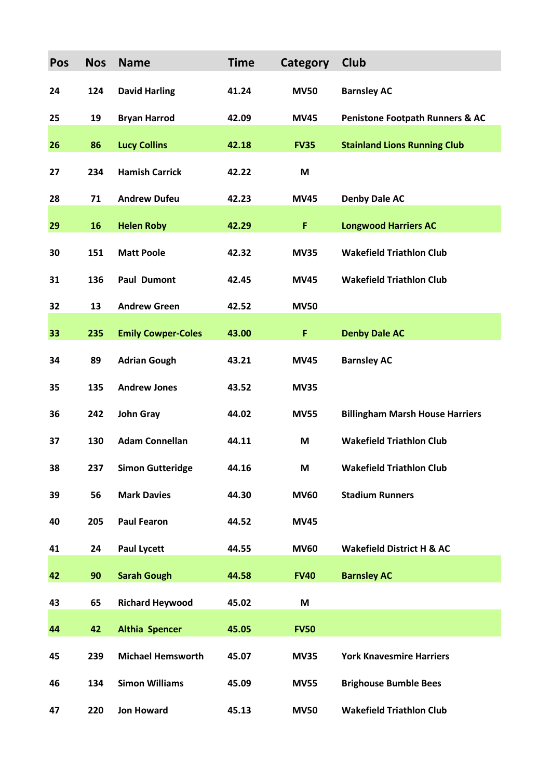| Pos | <b>Nos</b> | <b>Name</b>               | <b>Time</b> | Category    | Club                                       |
|-----|------------|---------------------------|-------------|-------------|--------------------------------------------|
| 24  | 124        | <b>David Harling</b>      | 41.24       | <b>MV50</b> | <b>Barnsley AC</b>                         |
| 25  | 19         | <b>Bryan Harrod</b>       | 42.09       | <b>MV45</b> | <b>Penistone Footpath Runners &amp; AC</b> |
| 26  | 86         | <b>Lucy Collins</b>       | 42.18       | <b>FV35</b> | <b>Stainland Lions Running Club</b>        |
| 27  | 234        | <b>Hamish Carrick</b>     | 42.22       | M           |                                            |
| 28  | 71         | <b>Andrew Dufeu</b>       | 42.23       | <b>MV45</b> | <b>Denby Dale AC</b>                       |
| 29  | 16         | <b>Helen Roby</b>         | 42.29       | F           | <b>Longwood Harriers AC</b>                |
| 30  | 151        | <b>Matt Poole</b>         | 42.32       | <b>MV35</b> | <b>Wakefield Triathlon Club</b>            |
| 31  | 136        | <b>Paul Dumont</b>        | 42.45       | <b>MV45</b> | <b>Wakefield Triathlon Club</b>            |
| 32  | 13         | <b>Andrew Green</b>       | 42.52       | <b>MV50</b> |                                            |
| 33  | 235        | <b>Emily Cowper-Coles</b> | 43.00       | F           | <b>Denby Dale AC</b>                       |
| 34  | 89         | <b>Adrian Gough</b>       | 43.21       | <b>MV45</b> | <b>Barnsley AC</b>                         |
| 35  | 135        | <b>Andrew Jones</b>       | 43.52       | <b>MV35</b> |                                            |
| 36  | 242        | <b>John Gray</b>          | 44.02       | <b>MV55</b> | <b>Billingham Marsh House Harriers</b>     |
| 37  | 130        | <b>Adam Connellan</b>     | 44.11       | M           | <b>Wakefield Triathlon Club</b>            |
| 38  | 237        | <b>Simon Gutteridge</b>   | 44.16       | M           | <b>Wakefield Triathlon Club</b>            |
| 39  | 56         | <b>Mark Davies</b>        | 44.30       | <b>MV60</b> | <b>Stadium Runners</b>                     |
| 40  | 205        | <b>Paul Fearon</b>        | 44.52       | <b>MV45</b> |                                            |
| 41  | 24         | <b>Paul Lycett</b>        | 44.55       | <b>MV60</b> | <b>Wakefield District H &amp; AC</b>       |
| 42  | 90         | <b>Sarah Gough</b>        | 44.58       | <b>FV40</b> | <b>Barnsley AC</b>                         |
| 43  | 65         | <b>Richard Heywood</b>    | 45.02       | M           |                                            |
| 44  | 42         | <b>Althia Spencer</b>     | 45.05       | <b>FV50</b> |                                            |
| 45  | 239        | <b>Michael Hemsworth</b>  | 45.07       | <b>MV35</b> | <b>York Knavesmire Harriers</b>            |
| 46  | 134        | <b>Simon Williams</b>     | 45.09       | <b>MV55</b> | <b>Brighouse Bumble Bees</b>               |
| 47  | 220        | <b>Jon Howard</b>         | 45.13       | <b>MV50</b> | <b>Wakefield Triathlon Club</b>            |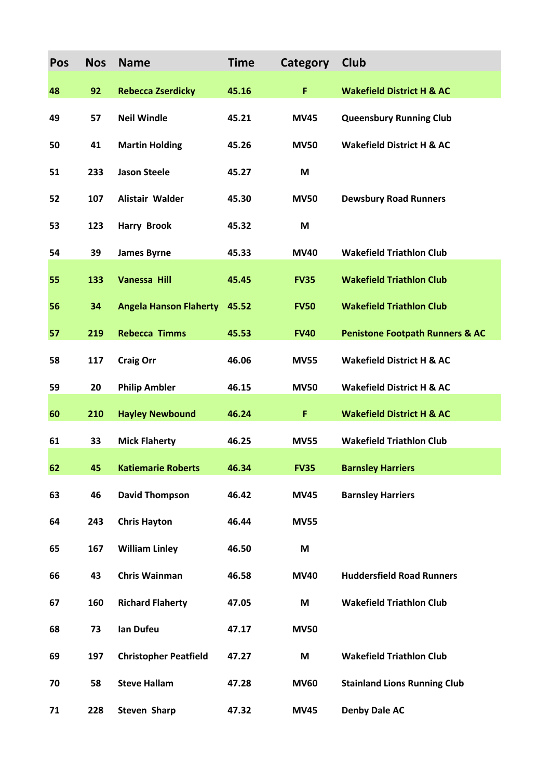| Pos | <b>Nos</b> | <b>Name</b>                   | <b>Time</b> | Category    | <b>Club</b>                                |
|-----|------------|-------------------------------|-------------|-------------|--------------------------------------------|
| 48  | 92         | <b>Rebecca Zserdicky</b>      | 45.16       | F           | <b>Wakefield District H &amp; AC</b>       |
| 49  | 57         | <b>Neil Windle</b>            | 45.21       | <b>MV45</b> | <b>Queensbury Running Club</b>             |
| 50  | 41         | <b>Martin Holding</b>         | 45.26       | <b>MV50</b> | <b>Wakefield District H &amp; AC</b>       |
| 51  | 233        | <b>Jason Steele</b>           | 45.27       | M           |                                            |
| 52  | 107        | Alistair Walder               | 45.30       | <b>MV50</b> | <b>Dewsbury Road Runners</b>               |
| 53  | 123        | <b>Harry Brook</b>            | 45.32       | M           |                                            |
| 54  | 39         | <b>James Byrne</b>            | 45.33       | <b>MV40</b> | <b>Wakefield Triathlon Club</b>            |
| 55  | 133        | <b>Vanessa Hill</b>           | 45.45       | <b>FV35</b> | <b>Wakefield Triathlon Club</b>            |
| 56  | 34         | <b>Angela Hanson Flaherty</b> | 45.52       | <b>FV50</b> | <b>Wakefield Triathlon Club</b>            |
| 57  | 219        | <b>Rebecca Timms</b>          | 45.53       | <b>FV40</b> | <b>Penistone Footpath Runners &amp; AC</b> |
| 58  | 117        | <b>Craig Orr</b>              | 46.06       | <b>MV55</b> | <b>Wakefield District H &amp; AC</b>       |
| 59  | 20         | <b>Philip Ambler</b>          | 46.15       | <b>MV50</b> | <b>Wakefield District H &amp; AC</b>       |
| 60  | 210        | <b>Hayley Newbound</b>        | 46.24       | F           | <b>Wakefield District H &amp; AC</b>       |
| 61  | 33         | <b>Mick Flaherty</b>          | 46.25       | <b>MV55</b> | <b>Wakefield Triathlon Club</b>            |
| 62  | 45         | <b>Katiemarie Roberts</b>     | 46.34       | <b>FV35</b> | <b>Barnsley Harriers</b>                   |
| 63  | 46         | <b>David Thompson</b>         | 46.42       | <b>MV45</b> | <b>Barnsley Harriers</b>                   |
| 64  | 243        | <b>Chris Hayton</b>           | 46.44       | <b>MV55</b> |                                            |
| 65  | 167        | <b>William Linley</b>         | 46.50       | M           |                                            |
| 66  | 43         | <b>Chris Wainman</b>          | 46.58       | <b>MV40</b> | <b>Huddersfield Road Runners</b>           |
| 67  | 160        | <b>Richard Flaherty</b>       | 47.05       | M           | <b>Wakefield Triathlon Club</b>            |
| 68  | 73         | Ian Dufeu                     | 47.17       | <b>MV50</b> |                                            |
| 69  | 197        | <b>Christopher Peatfield</b>  | 47.27       | M           | <b>Wakefield Triathlon Club</b>            |
| 70  | 58         | <b>Steve Hallam</b>           | 47.28       | <b>MV60</b> | <b>Stainland Lions Running Club</b>        |
| 71  | 228        | <b>Steven Sharp</b>           | 47.32       | <b>MV45</b> | <b>Denby Dale AC</b>                       |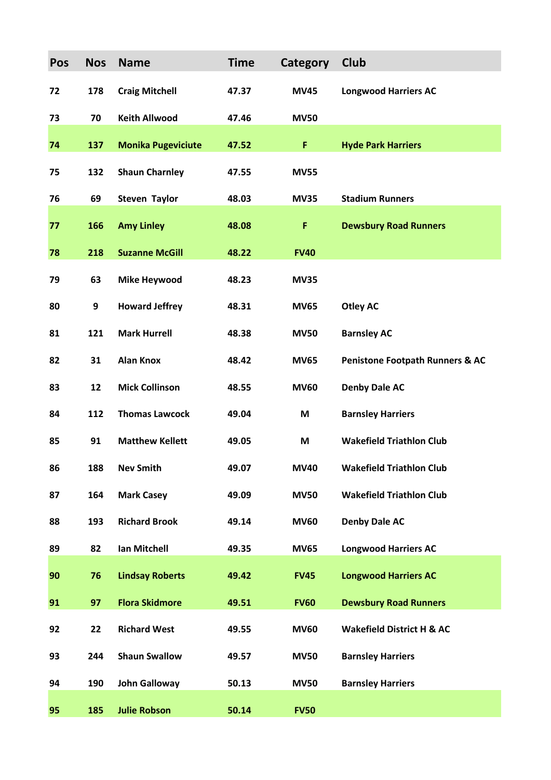| Pos | <b>Nos</b> | <b>Name</b>               | <b>Time</b> | Category    | Club                                       |
|-----|------------|---------------------------|-------------|-------------|--------------------------------------------|
| 72  | 178        | <b>Craig Mitchell</b>     | 47.37       | <b>MV45</b> | <b>Longwood Harriers AC</b>                |
| 73  | 70         | <b>Keith Allwood</b>      | 47.46       | <b>MV50</b> |                                            |
| 74  | 137        | <b>Monika Pugeviciute</b> | 47.52       | F           | <b>Hyde Park Harriers</b>                  |
| 75  | 132        | <b>Shaun Charnley</b>     | 47.55       | <b>MV55</b> |                                            |
| 76  | 69         | <b>Steven Taylor</b>      | 48.03       | <b>MV35</b> | <b>Stadium Runners</b>                     |
| 77  | 166        | <b>Amy Linley</b>         | 48.08       | F           | <b>Dewsbury Road Runners</b>               |
| 78  | 218        | <b>Suzanne McGill</b>     | 48.22       | <b>FV40</b> |                                            |
| 79  | 63         | <b>Mike Heywood</b>       | 48.23       | <b>MV35</b> |                                            |
| 80  | 9          | <b>Howard Jeffrey</b>     | 48.31       | <b>MV65</b> | <b>Otley AC</b>                            |
| 81  | 121        | <b>Mark Hurrell</b>       | 48.38       | <b>MV50</b> | <b>Barnsley AC</b>                         |
| 82  | 31         | <b>Alan Knox</b>          | 48.42       | <b>MV65</b> | <b>Penistone Footpath Runners &amp; AC</b> |
| 83  | 12         | <b>Mick Collinson</b>     | 48.55       | <b>MV60</b> | <b>Denby Dale AC</b>                       |
| 84  | 112        | <b>Thomas Lawcock</b>     | 49.04       | M           | <b>Barnsley Harriers</b>                   |
| 85  | 91         | <b>Matthew Kellett</b>    | 49.05       | M           | <b>Wakefield Triathlon Club</b>            |
| 86  | 188        | <b>Nev Smith</b>          | 49.07       | <b>MV40</b> | <b>Wakefield Triathlon Club</b>            |
| 87  | 164        | <b>Mark Casey</b>         | 49.09       | <b>MV50</b> | <b>Wakefield Triathlon Club</b>            |
| 88  | 193        | <b>Richard Brook</b>      | 49.14       | <b>MV60</b> | <b>Denby Dale AC</b>                       |
| 89  | 82         | Ian Mitchell              | 49.35       | <b>MV65</b> | <b>Longwood Harriers AC</b>                |
| 90  | 76         | <b>Lindsay Roberts</b>    | 49.42       | <b>FV45</b> | <b>Longwood Harriers AC</b>                |
| 91  | 97         | <b>Flora Skidmore</b>     | 49.51       | <b>FV60</b> | <b>Dewsbury Road Runners</b>               |
| 92  | 22         | <b>Richard West</b>       | 49.55       | <b>MV60</b> | <b>Wakefield District H &amp; AC</b>       |
| 93  | 244        | <b>Shaun Swallow</b>      | 49.57       | <b>MV50</b> | <b>Barnsley Harriers</b>                   |
| 94  | 190        | <b>John Galloway</b>      | 50.13       | <b>MV50</b> | <b>Barnsley Harriers</b>                   |
| 95  | 185        | <b>Julie Robson</b>       | 50.14       | <b>FV50</b> |                                            |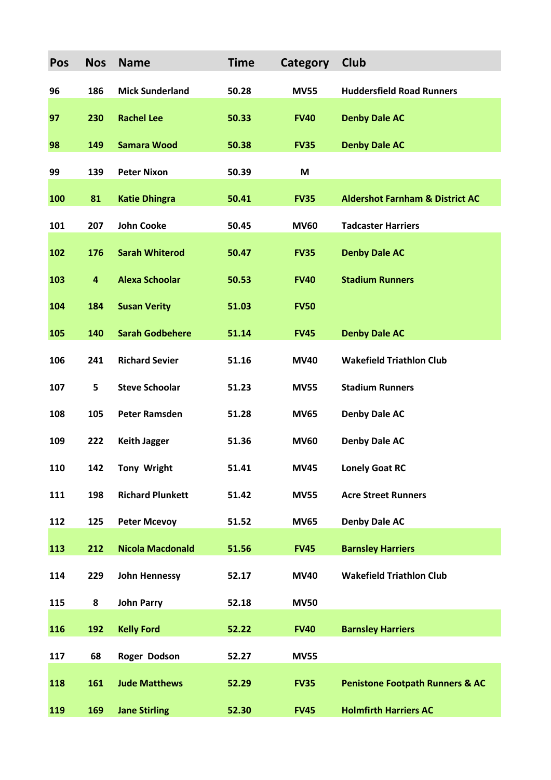| Pos | <b>Nos</b> | <b>Name</b>             | <b>Time</b> | Category    | Club                                       |
|-----|------------|-------------------------|-------------|-------------|--------------------------------------------|
| 96  | 186        | <b>Mick Sunderland</b>  | 50.28       | <b>MV55</b> | <b>Huddersfield Road Runners</b>           |
| 97  | 230        | <b>Rachel Lee</b>       | 50.33       | <b>FV40</b> | <b>Denby Dale AC</b>                       |
| 98  | 149        | <b>Samara Wood</b>      | 50.38       | <b>FV35</b> | <b>Denby Dale AC</b>                       |
| 99  | 139        | <b>Peter Nixon</b>      | 50.39       | M           |                                            |
| 100 | 81         | <b>Katie Dhingra</b>    | 50.41       | <b>FV35</b> | <b>Aldershot Farnham &amp; District AC</b> |
| 101 | 207        | <b>John Cooke</b>       | 50.45       | <b>MV60</b> | <b>Tadcaster Harriers</b>                  |
| 102 | 176        | <b>Sarah Whiterod</b>   | 50.47       | <b>FV35</b> | <b>Denby Dale AC</b>                       |
| 103 | 4          | <b>Alexa Schoolar</b>   | 50.53       | <b>FV40</b> | <b>Stadium Runners</b>                     |
| 104 | 184        | <b>Susan Verity</b>     | 51.03       | <b>FV50</b> |                                            |
| 105 | 140        | <b>Sarah Godbehere</b>  | 51.14       | <b>FV45</b> | <b>Denby Dale AC</b>                       |
| 106 | 241        | <b>Richard Sevier</b>   | 51.16       | <b>MV40</b> | <b>Wakefield Triathlon Club</b>            |
| 107 | 5          | <b>Steve Schoolar</b>   | 51.23       | <b>MV55</b> | <b>Stadium Runners</b>                     |
| 108 | 105        | <b>Peter Ramsden</b>    | 51.28       | <b>MV65</b> | <b>Denby Dale AC</b>                       |
| 109 | 222        | <b>Keith Jagger</b>     | 51.36       | <b>MV60</b> | <b>Denby Dale AC</b>                       |
| 110 | 142        | <b>Tony Wright</b>      | 51.41       | <b>MV45</b> | <b>Lonely Goat RC</b>                      |
| 111 | 198        | <b>Richard Plunkett</b> | 51.42       | <b>MV55</b> | <b>Acre Street Runners</b>                 |
| 112 | 125        | <b>Peter Mcevoy</b>     | 51.52       | <b>MV65</b> | <b>Denby Dale AC</b>                       |
| 113 | 212        | <b>Nicola Macdonald</b> | 51.56       | <b>FV45</b> | <b>Barnsley Harriers</b>                   |
| 114 | 229        | <b>John Hennessy</b>    | 52.17       | <b>MV40</b> | <b>Wakefield Triathlon Club</b>            |
| 115 | 8          | <b>John Parry</b>       | 52.18       | <b>MV50</b> |                                            |
| 116 | 192        | <b>Kelly Ford</b>       | 52.22       | <b>FV40</b> | <b>Barnsley Harriers</b>                   |
| 117 | 68         | Roger Dodson            | 52.27       | <b>MV55</b> |                                            |
| 118 | 161        | <b>Jude Matthews</b>    | 52.29       | <b>FV35</b> | <b>Penistone Footpath Runners &amp; AC</b> |
| 119 | 169        | <b>Jane Stirling</b>    | 52.30       | <b>FV45</b> | <b>Holmfirth Harriers AC</b>               |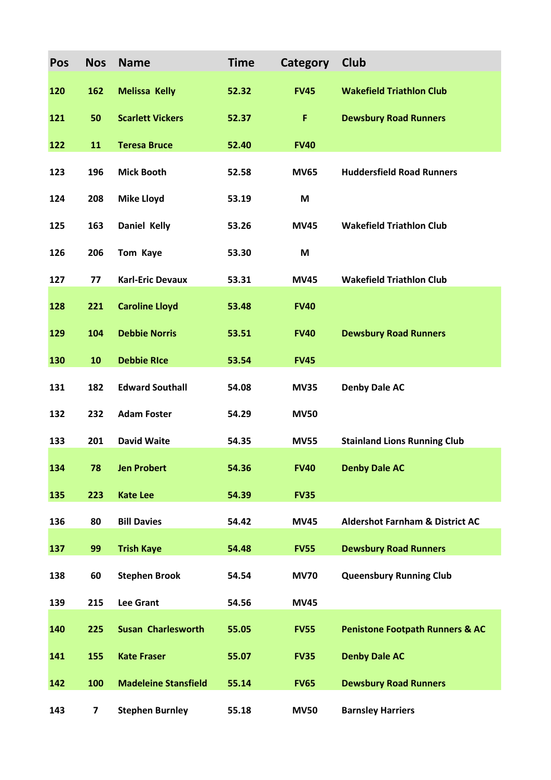| Pos | <b>Nos</b>              | <b>Name</b>                 | <b>Time</b> | Category    | Club                                       |
|-----|-------------------------|-----------------------------|-------------|-------------|--------------------------------------------|
| 120 | 162                     | <b>Melissa Kelly</b>        | 52.32       | <b>FV45</b> | <b>Wakefield Triathlon Club</b>            |
| 121 | 50                      | <b>Scarlett Vickers</b>     | 52.37       | F           | <b>Dewsbury Road Runners</b>               |
| 122 | 11                      | <b>Teresa Bruce</b>         | 52.40       | <b>FV40</b> |                                            |
| 123 | 196                     | <b>Mick Booth</b>           | 52.58       | <b>MV65</b> | <b>Huddersfield Road Runners</b>           |
| 124 | 208                     | <b>Mike Lloyd</b>           | 53.19       | M           |                                            |
| 125 | 163                     | <b>Daniel Kelly</b>         | 53.26       | <b>MV45</b> | <b>Wakefield Triathlon Club</b>            |
| 126 | 206                     | Tom Kaye                    | 53.30       | M           |                                            |
| 127 | 77                      | <b>Karl-Eric Devaux</b>     | 53.31       | <b>MV45</b> | <b>Wakefield Triathlon Club</b>            |
| 128 | 221                     | <b>Caroline Lloyd</b>       | 53.48       | <b>FV40</b> |                                            |
| 129 | 104                     | <b>Debbie Norris</b>        | 53.51       | <b>FV40</b> | <b>Dewsbury Road Runners</b>               |
| 130 | 10                      | <b>Debbie RIce</b>          | 53.54       | <b>FV45</b> |                                            |
| 131 | 182                     | <b>Edward Southall</b>      | 54.08       | <b>MV35</b> | <b>Denby Dale AC</b>                       |
| 132 | 232                     | <b>Adam Foster</b>          | 54.29       | <b>MV50</b> |                                            |
| 133 | 201                     | <b>David Waite</b>          | 54.35       | <b>MV55</b> | <b>Stainland Lions Running Club</b>        |
| 134 | 78                      | <b>Jen Probert</b>          | 54.36       | <b>FV40</b> | <b>Denby Dale AC</b>                       |
| 135 | 223                     | <b>Kate Lee</b>             | 54.39       | <b>FV35</b> |                                            |
| 136 | 80                      | <b>Bill Davies</b>          | 54.42       | <b>MV45</b> | <b>Aldershot Farnham &amp; District AC</b> |
| 137 | 99                      | <b>Trish Kaye</b>           | 54.48       | <b>FV55</b> | <b>Dewsbury Road Runners</b>               |
| 138 | 60                      | <b>Stephen Brook</b>        | 54.54       | <b>MV70</b> | <b>Queensbury Running Club</b>             |
| 139 | 215                     | <b>Lee Grant</b>            | 54.56       | <b>MV45</b> |                                            |
| 140 | 225                     | <b>Susan Charlesworth</b>   | 55.05       | <b>FV55</b> | <b>Penistone Footpath Runners &amp; AC</b> |
| 141 | 155                     | <b>Kate Fraser</b>          | 55.07       | <b>FV35</b> | <b>Denby Dale AC</b>                       |
| 142 | 100                     | <b>Madeleine Stansfield</b> | 55.14       | <b>FV65</b> | <b>Dewsbury Road Runners</b>               |
| 143 | $\overline{\mathbf{z}}$ | <b>Stephen Burnley</b>      | 55.18       | <b>MV50</b> | <b>Barnsley Harriers</b>                   |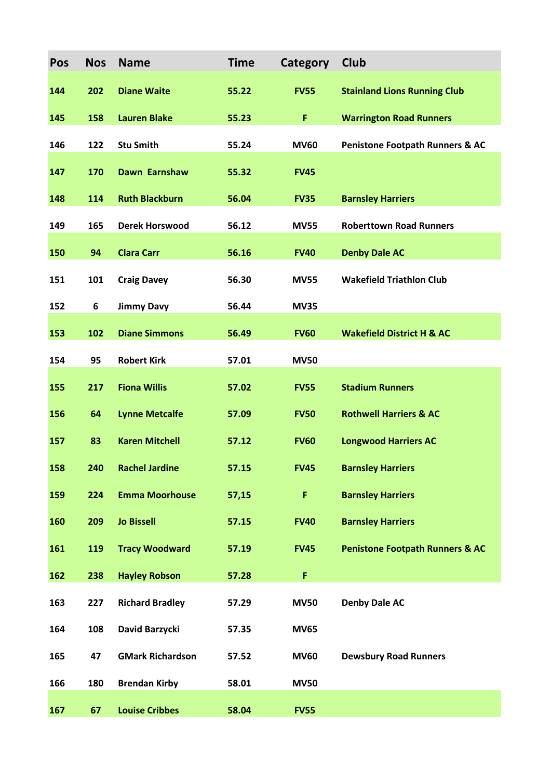| Pos | <b>Nos</b> | <b>Name</b>             | <b>Time</b> | Category    | Club                                       |
|-----|------------|-------------------------|-------------|-------------|--------------------------------------------|
| 144 | 202        | <b>Diane Waite</b>      | 55.22       | <b>FV55</b> | <b>Stainland Lions Running Club</b>        |
| 145 | 158        | <b>Lauren Blake</b>     | 55.23       | F           | <b>Warrington Road Runners</b>             |
| 146 | 122        | <b>Stu Smith</b>        | 55.24       | <b>MV60</b> | <b>Penistone Footpath Runners &amp; AC</b> |
| 147 | 170        | Dawn Earnshaw           | 55.32       | <b>FV45</b> |                                            |
| 148 | 114        | <b>Ruth Blackburn</b>   | 56.04       | <b>FV35</b> | <b>Barnsley Harriers</b>                   |
| 149 | 165        | <b>Derek Horswood</b>   | 56.12       | <b>MV55</b> | <b>Roberttown Road Runners</b>             |
| 150 | 94         | <b>Clara Carr</b>       | 56.16       | <b>FV40</b> | <b>Denby Dale AC</b>                       |
| 151 | 101        | <b>Craig Davey</b>      | 56.30       | <b>MV55</b> | <b>Wakefield Triathlon Club</b>            |
| 152 | 6          | <b>Jimmy Davy</b>       | 56.44       | <b>MV35</b> |                                            |
| 153 | 102        | <b>Diane Simmons</b>    | 56.49       | <b>FV60</b> | <b>Wakefield District H &amp; AC</b>       |
| 154 | 95         | <b>Robert Kirk</b>      | 57.01       | <b>MV50</b> |                                            |
| 155 | 217        | <b>Fiona Willis</b>     | 57.02       | <b>FV55</b> | <b>Stadium Runners</b>                     |
| 156 | 64         | <b>Lynne Metcalfe</b>   | 57.09       | <b>FV50</b> | <b>Rothwell Harriers &amp; AC</b>          |
| 157 | 83         | <b>Karen Mitchell</b>   | 57.12       | <b>FV60</b> | <b>Longwood Harriers AC</b>                |
| 158 | 240        | <b>Rachel Jardine</b>   | 57.15       | <b>FV45</b> | <b>Barnsley Harriers</b>                   |
| 159 | 224        | <b>Emma Moorhouse</b>   | 57,15       | F           | <b>Barnsley Harriers</b>                   |
| 160 | 209        | <b>Jo Bissell</b>       | 57.15       | <b>FV40</b> | <b>Barnsley Harriers</b>                   |
| 161 | 119        | <b>Tracy Woodward</b>   | 57.19       | <b>FV45</b> | <b>Penistone Footpath Runners &amp; AC</b> |
| 162 | 238        | <b>Hayley Robson</b>    | 57.28       | F           |                                            |
| 163 | 227        | <b>Richard Bradley</b>  | 57.29       | <b>MV50</b> | <b>Denby Dale AC</b>                       |
| 164 | 108        | David Barzycki          | 57.35       | <b>MV65</b> |                                            |
| 165 | 47         | <b>GMark Richardson</b> | 57.52       | <b>MV60</b> | <b>Dewsbury Road Runners</b>               |
| 166 | 180        | <b>Brendan Kirby</b>    | 58.01       | <b>MV50</b> |                                            |
| 167 | 67         | <b>Louise Cribbes</b>   | 58.04       | <b>FV55</b> |                                            |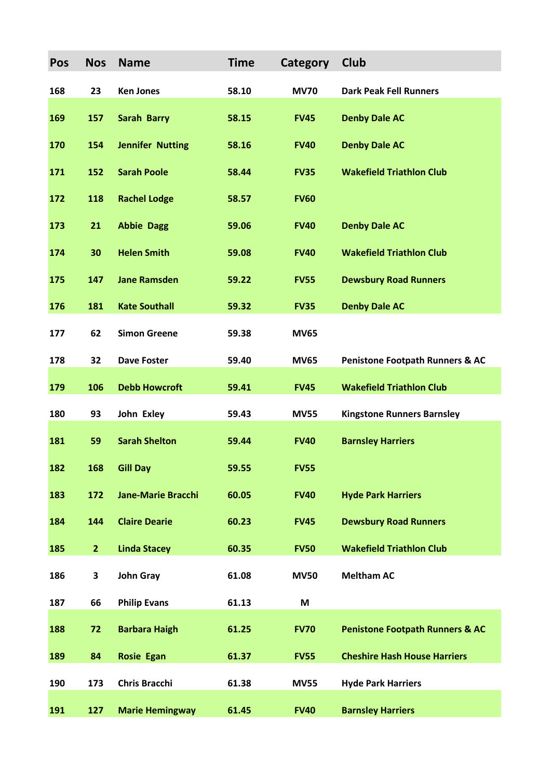| Pos | <b>Nos</b>     | <b>Name</b>               | <b>Time</b> | Category    | Club                                       |
|-----|----------------|---------------------------|-------------|-------------|--------------------------------------------|
| 168 | 23             | <b>Ken Jones</b>          | 58.10       | <b>MV70</b> | <b>Dark Peak Fell Runners</b>              |
| 169 | 157            | <b>Sarah Barry</b>        | 58.15       | <b>FV45</b> | <b>Denby Dale AC</b>                       |
| 170 | 154            | <b>Jennifer Nutting</b>   | 58.16       | <b>FV40</b> | <b>Denby Dale AC</b>                       |
| 171 | 152            | <b>Sarah Poole</b>        | 58.44       | <b>FV35</b> | <b>Wakefield Triathlon Club</b>            |
| 172 | 118            | <b>Rachel Lodge</b>       | 58.57       | <b>FV60</b> |                                            |
| 173 | 21             | <b>Abbie Dagg</b>         | 59.06       | <b>FV40</b> | <b>Denby Dale AC</b>                       |
| 174 | 30             | <b>Helen Smith</b>        | 59.08       | <b>FV40</b> | <b>Wakefield Triathlon Club</b>            |
| 175 | 147            | <b>Jane Ramsden</b>       | 59.22       | <b>FV55</b> | <b>Dewsbury Road Runners</b>               |
| 176 | 181            | <b>Kate Southall</b>      | 59.32       | <b>FV35</b> | <b>Denby Dale AC</b>                       |
| 177 | 62             | <b>Simon Greene</b>       | 59.38       | <b>MV65</b> |                                            |
| 178 | 32             | <b>Dave Foster</b>        | 59.40       | <b>MV65</b> | <b>Penistone Footpath Runners &amp; AC</b> |
| 179 | 106            | <b>Debb Howcroft</b>      | 59.41       | <b>FV45</b> | <b>Wakefield Triathlon Club</b>            |
| 180 | 93             | John Exley                | 59.43       | <b>MV55</b> | <b>Kingstone Runners Barnsley</b>          |
| 181 | 59             | <b>Sarah Shelton</b>      | 59.44       | <b>FV40</b> | <b>Barnsley Harriers</b>                   |
| 182 | 168            | <b>Gill Day</b>           | 59.55       | <b>FV55</b> |                                            |
| 183 | 172            | <b>Jane-Marie Bracchi</b> | 60.05       | <b>FV40</b> | <b>Hyde Park Harriers</b>                  |
| 184 | 144            | <b>Claire Dearie</b>      | 60.23       | <b>FV45</b> | <b>Dewsbury Road Runners</b>               |
| 185 | $\overline{2}$ | <b>Linda Stacey</b>       | 60.35       | <b>FV50</b> | <b>Wakefield Triathlon Club</b>            |
| 186 | 3              | <b>John Gray</b>          | 61.08       | <b>MV50</b> | <b>Meltham AC</b>                          |
| 187 | 66             | <b>Philip Evans</b>       | 61.13       | M           |                                            |
| 188 | 72             | <b>Barbara Haigh</b>      | 61.25       | <b>FV70</b> | <b>Penistone Footpath Runners &amp; AC</b> |
| 189 | 84             | <b>Rosie Egan</b>         | 61.37       | <b>FV55</b> | <b>Cheshire Hash House Harriers</b>        |
| 190 | 173            | <b>Chris Bracchi</b>      | 61.38       | <b>MV55</b> | <b>Hyde Park Harriers</b>                  |
| 191 | 127            | <b>Marie Hemingway</b>    | 61.45       | <b>FV40</b> | <b>Barnsley Harriers</b>                   |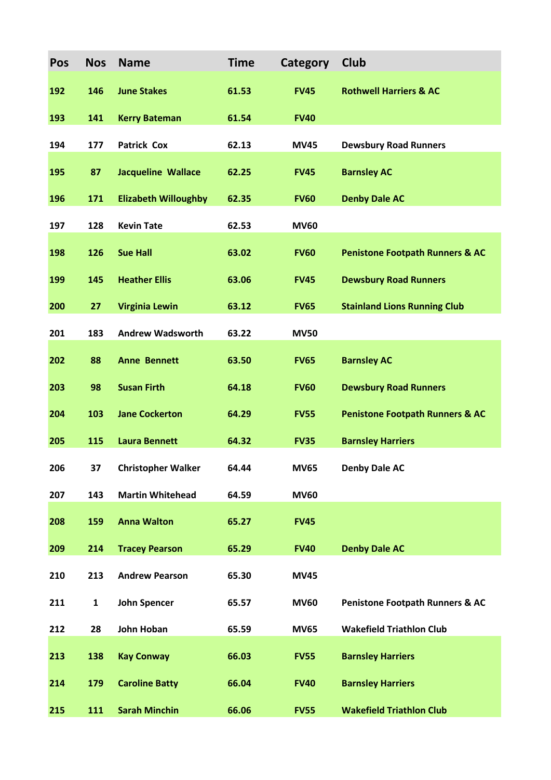| Pos | <b>Nos</b>   | <b>Name</b>                 | <b>Time</b> | Category    | <b>Club</b>                                |
|-----|--------------|-----------------------------|-------------|-------------|--------------------------------------------|
| 192 | 146          | <b>June Stakes</b>          | 61.53       | <b>FV45</b> | <b>Rothwell Harriers &amp; AC</b>          |
| 193 | 141          | <b>Kerry Bateman</b>        | 61.54       | <b>FV40</b> |                                            |
| 194 | 177          | <b>Patrick Cox</b>          | 62.13       | <b>MV45</b> | <b>Dewsbury Road Runners</b>               |
| 195 | 87           | <b>Jacqueline Wallace</b>   | 62.25       | <b>FV45</b> | <b>Barnsley AC</b>                         |
| 196 | 171          | <b>Elizabeth Willoughby</b> | 62.35       | <b>FV60</b> | <b>Denby Dale AC</b>                       |
| 197 | 128          | <b>Kevin Tate</b>           | 62.53       | <b>MV60</b> |                                            |
| 198 | 126          | <b>Sue Hall</b>             | 63.02       | <b>FV60</b> | <b>Penistone Footpath Runners &amp; AC</b> |
| 199 | 145          | <b>Heather Ellis</b>        | 63.06       | <b>FV45</b> | <b>Dewsbury Road Runners</b>               |
| 200 | 27           | <b>Virginia Lewin</b>       | 63.12       | <b>FV65</b> | <b>Stainland Lions Running Club</b>        |
| 201 | 183          | <b>Andrew Wadsworth</b>     | 63.22       | <b>MV50</b> |                                            |
| 202 | 88           | <b>Anne Bennett</b>         | 63.50       | <b>FV65</b> | <b>Barnsley AC</b>                         |
| 203 | 98           | <b>Susan Firth</b>          | 64.18       | <b>FV60</b> | <b>Dewsbury Road Runners</b>               |
| 204 | 103          | <b>Jane Cockerton</b>       | 64.29       | <b>FV55</b> | <b>Penistone Footpath Runners &amp; AC</b> |
| 205 | 115          | <b>Laura Bennett</b>        | 64.32       | <b>FV35</b> | <b>Barnsley Harriers</b>                   |
| 206 | 37           | <b>Christopher Walker</b>   | 64.44       | <b>MV65</b> | <b>Denby Dale AC</b>                       |
| 207 | 143          | <b>Martin Whitehead</b>     | 64.59       | <b>MV60</b> |                                            |
| 208 | 159          | <b>Anna Walton</b>          | 65.27       | <b>FV45</b> |                                            |
| 209 | 214          | <b>Tracey Pearson</b>       | 65.29       | <b>FV40</b> | <b>Denby Dale AC</b>                       |
| 210 | 213          | <b>Andrew Pearson</b>       | 65.30       | <b>MV45</b> |                                            |
| 211 | $\mathbf{1}$ | <b>John Spencer</b>         | 65.57       | <b>MV60</b> | <b>Penistone Footpath Runners &amp; AC</b> |
| 212 | 28           | John Hoban                  | 65.59       | <b>MV65</b> | <b>Wakefield Triathlon Club</b>            |
| 213 | 138          | <b>Kay Conway</b>           | 66.03       | <b>FV55</b> | <b>Barnsley Harriers</b>                   |
| 214 | 179          | <b>Caroline Batty</b>       | 66.04       | <b>FV40</b> | <b>Barnsley Harriers</b>                   |
| 215 | 111          | <b>Sarah Minchin</b>        | 66.06       | <b>FV55</b> | <b>Wakefield Triathlon Club</b>            |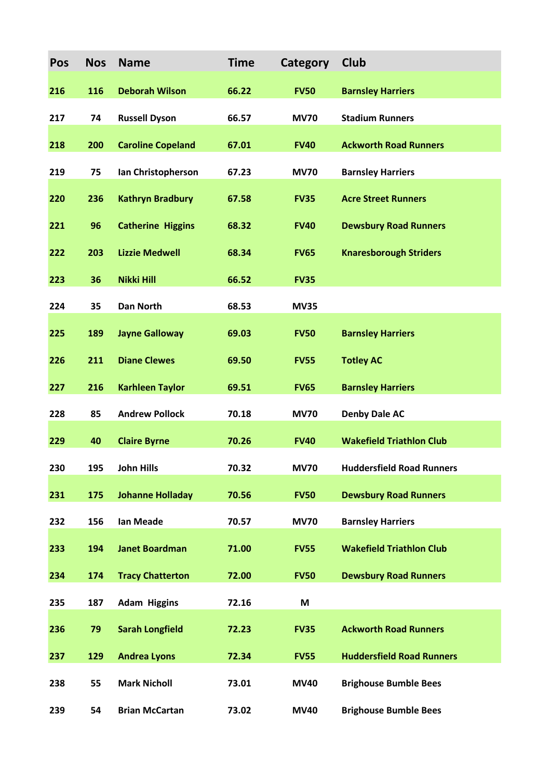| Pos | <b>Nos</b> | <b>Name</b>              | <b>Time</b> | Category    | Club                             |
|-----|------------|--------------------------|-------------|-------------|----------------------------------|
| 216 | 116        | <b>Deborah Wilson</b>    | 66.22       | <b>FV50</b> | <b>Barnsley Harriers</b>         |
| 217 | 74         | <b>Russell Dyson</b>     | 66.57       | <b>MV70</b> | <b>Stadium Runners</b>           |
| 218 | 200        | <b>Caroline Copeland</b> | 67.01       | <b>FV40</b> | <b>Ackworth Road Runners</b>     |
| 219 | 75         | Ian Christopherson       | 67.23       | <b>MV70</b> | <b>Barnsley Harriers</b>         |
| 220 | 236        | <b>Kathryn Bradbury</b>  | 67.58       | <b>FV35</b> | <b>Acre Street Runners</b>       |
| 221 | 96         | <b>Catherine Higgins</b> | 68.32       | <b>FV40</b> | <b>Dewsbury Road Runners</b>     |
| 222 | 203        | <b>Lizzie Medwell</b>    | 68.34       | <b>FV65</b> | <b>Knaresborough Striders</b>    |
| 223 | 36         | Nikki Hill               | 66.52       | <b>FV35</b> |                                  |
| 224 | 35         | <b>Dan North</b>         | 68.53       | <b>MV35</b> |                                  |
| 225 | 189        | <b>Jayne Galloway</b>    | 69.03       | <b>FV50</b> | <b>Barnsley Harriers</b>         |
| 226 | 211        | <b>Diane Clewes</b>      | 69.50       | <b>FV55</b> | <b>Totley AC</b>                 |
| 227 | 216        | <b>Karhleen Taylor</b>   | 69.51       | <b>FV65</b> | <b>Barnsley Harriers</b>         |
| 228 | 85         | <b>Andrew Pollock</b>    | 70.18       | <b>MV70</b> | <b>Denby Dale AC</b>             |
| 229 | 40         | <b>Claire Byrne</b>      | 70.26       | <b>FV40</b> | <b>Wakefield Triathlon Club</b>  |
| 230 | 195        | John Hills               | 70.32       | <b>MV70</b> | <b>Huddersfield Road Runners</b> |
| 231 | 175        | <b>Johanne Holladay</b>  | 70.56       | <b>FV50</b> | <b>Dewsbury Road Runners</b>     |
| 232 | 156        | <b>Ian Meade</b>         | 70.57       | <b>MV70</b> | <b>Barnsley Harriers</b>         |
| 233 | 194        | <b>Janet Boardman</b>    | 71.00       | <b>FV55</b> | <b>Wakefield Triathlon Club</b>  |
| 234 | 174        | <b>Tracy Chatterton</b>  | 72.00       | <b>FV50</b> | <b>Dewsbury Road Runners</b>     |
| 235 | 187        | <b>Adam Higgins</b>      | 72.16       | M           |                                  |
| 236 | 79         | <b>Sarah Longfield</b>   | 72.23       | <b>FV35</b> | <b>Ackworth Road Runners</b>     |
| 237 | 129        | <b>Andrea Lyons</b>      | 72.34       | <b>FV55</b> | <b>Huddersfield Road Runners</b> |
| 238 | 55         | <b>Mark Nicholl</b>      | 73.01       | <b>MV40</b> | <b>Brighouse Bumble Bees</b>     |
| 239 | 54         | <b>Brian McCartan</b>    | 73.02       | <b>MV40</b> | <b>Brighouse Bumble Bees</b>     |